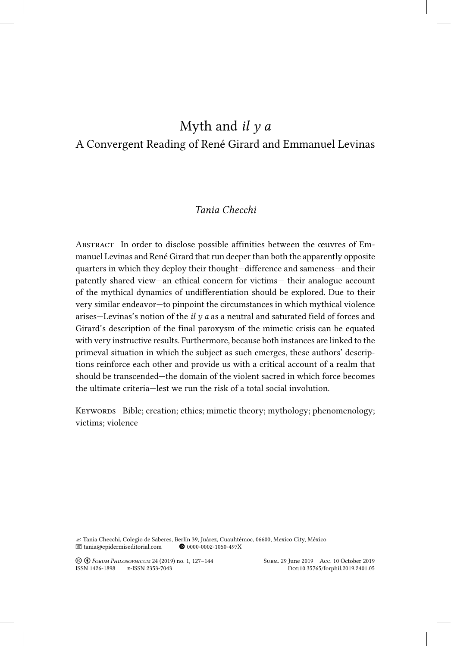# Myth and *il y a* A Convergent Reading of René Girard and Emmanuel Levinas

# *Tania Checchi*

Abstract In order to disclose possible affinities between the œuvres of Emmanuel Levinas and René Girard that run deeper than both the apparently opposite quarters in which they deploy their thought—difference and sameness—and their patently shared view—an ethical concern for victims— their analogue account of the mythical dynamics of undifferentiation should be explored. Due to their very similar endeavor—to pinpoint the circumstances in which mythical violence arises—Levinas's notion of the *il y a* as a neutral and saturated field of forces and Girard's description of the final paroxysm of the mimetic crisis can be equated with very instructive results. Furthermore, because both instances are linked to the primeval situation in which the subject as such emerges, these authors' descriptions reinforce each other and provide us with a critical account of a realm that should be transcended—the domain of the violent sacred in which force becomes the ultimate criteria—lest we run the risk of a total social involution.

KEYWORDS Bible; creation; ethics; mimetic theory; mythology; phenomenology; victims; violence

 $\ll$  Tania Checchi, Colegio de Saberes, Berlín 39, Juárez, Cuauhtémoc, 06600, Mexico City, México (11) and tanàna tanàna dia  $\circledast$  0000-0002-1050-497X  $\blacksquare$  tania@epidermiseditorial.com

! " *Forum Philosophicum* 24 (2019) no. 1, 127–144 Subm. 29 June 2019 Acc. 10 October 2019 ISSN 1426-1898 E-ISSN 2353-7043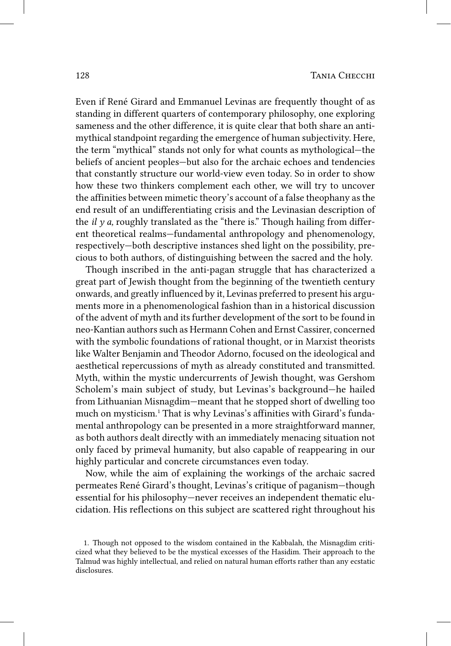Even if René Girard and Emmanuel Levinas are frequently thought of as standing in different quarters of contemporary philosophy, one exploring sameness and the other difference, it is quite clear that both share an antimythical standpoint regarding the emergence of human subjectivity. Here, the term "mythical" stands not only for what counts as mythological—the beliefs of ancient peoples—but also for the archaic echoes and tendencies that constantly structure our world-view even today. So in order to show how these two thinkers complement each other, we will try to uncover the affinities between mimetic theory's account of a false theophany asthe end result of an undifferentiating crisis and the Levinasian description of the *il*  $\gamma$  *a*, roughly translated as the "there is." Though hailing from different theoretical realms—fundamental anthropology and phenomenology, respectively—both descriptive instances shed light on the possibility, precious to both authors, of distinguishing between the sacred and the holy.

Though inscribed in the anti-pagan struggle that has characterized a great part of Jewish thought from the beginning of the twentieth century onwards, and greatly influenced by it, Levinas preferred to present his arguments more in a phenomenological fashion than in a historical discussion of the advent of myth and its further development of the sort to be found in neo-Kantian authors such as Hermann Cohen and Ernst Cassirer, concerned with the symbolic foundations of rational thought, or in Marxist theorists like Walter Benjamin and Theodor Adorno, focused on the ideological and aesthetical repercussions of myth as already constituted and transmitted. Myth, within the mystic undercurrents of Jewish thought, was Gershom Scholem's main subject of study, but Levinas's background—he hailed from Lithuanian Misnagdim—meant that he stopped short of dwelling too much on mysticism.1 That is why Levinas's affinities with Girard's fundamental anthropology can be presented in a more straightforward manner, as both authors dealt directly with an immediately menacing situation not only faced by primeval humanity, but also capable of reappearing in our highly particular and concrete circumstances even today.

Now, while the aim of explaining the workings of the archaic sacred permeates René Girard's thought, Levinas's critique of paganism—though essential for his philosophy—never receives an independent thematic elucidation. His reflections on this subject are scattered right throughout his

<sup>1.</sup> Though not opposed to the wisdom contained in the Kabbalah, the Misnagdim criticized what they believed to be the mystical excesses of the Hasidim. Their approach to the Talmud was highly intellectual, and relied on natural human efforts rather than any ecstatic disclosures.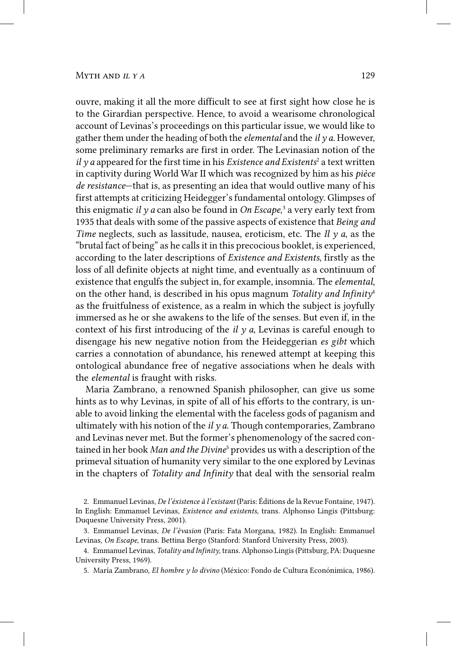# $M$ <sup>*y*</sup>  $H Y A$  129

ouvre, making it all the more difficult to see at first sight how close he is to the Girardian perspective. Hence, to avoid a wearisome chronological account of Levinas's proceedings on this particular issue, we would like to gather them under the heading of both the *elemental* and the *il y a*. However, some preliminary remarks are first in order. The Levinasian notion of the *il y a* appeared for the first time in his *Existence and Existents<sup>2</sup>* a text written in captivity during World War II which was recognized by him as his *pièce de resistance*—that is, as presenting an idea that would outlive many of his first attempts at criticizing Heidegger's fundamental ontology. Glimpses of this enigmatic *il y a* can also be found in *On Escape*, 3 a very early text from 1935 that deals with some of the passive aspects of existence that *Being and Time* neglects, such as lassitude, nausea, eroticism, etc. The *Il y a*, as the "brutal fact of being" as he calls it in this precocious booklet, is experienced, according to the later descriptions of *Existence and Existents*, firstly as the loss of all definite objects at night time, and eventually as a continuum of existence that engulfs the subject in, for example, insomnia. The *elemental*, on the other hand, is described in his opus magnum *Totality and Infinity*<sup>4</sup> as the fruitfulness of existence, as a realm in which the subject is joyfully immersed as he or she awakens to the life of the senses. But even if, in the context of his first introducing of the *il y a*, Levinas is careful enough to disengage his new negative notion from the Heideggerian *es gibt* which carries a connotation of abundance, his renewed attempt at keeping this ontological abundance free of negative associations when he deals with the *elemental* is fraught with risks.

Maria Zambrano, a renowned Spanish philosopher, can give us some hints as to why Levinas, in spite of all of his efforts to the contrary, is unable to avoid linking the elemental with the faceless gods of paganism and ultimately with his notion of the *il y a*. Though contemporaries, Zambrano and Levinas never met. But the former's phenomenology of the sacred contained in her book *Man and the Divine*<sup>5</sup> provides us with a description of the primeval situation of humanity very similar to the one explored by Levinas in the chapters of *Totality and Infinity* that deal with the sensorial realm

<sup>2.</sup> Emmanuel Levinas, *De l'éxistence à l'existant* (Paris: Éditions de la Revue Fontaine, 1947). In English: Emmanuel Levinas, *Existence and existents*, trans. Alphonso Lingis (Pittsburg: Duquesne University Press, 2001).

<sup>3.</sup> Emmanuel Levinas, *De l'èvasion* (Paris: Fata Morgana, 1982). In English: Emmanuel Levinas, *On Escape*, trans. Bettina Bergo (Stanford: Stanford University Press, 2003).

<sup>4.</sup> Emmanuel Levinas, *Totality and Infinity*, trans. Alphonso Lingis (Pittsburg, PA: Duquesne University Press, 1969).

<sup>5.</sup> María Zambrano, *El hombre y lo divino* (México: Fondo de Cultura Econónimica, 1986).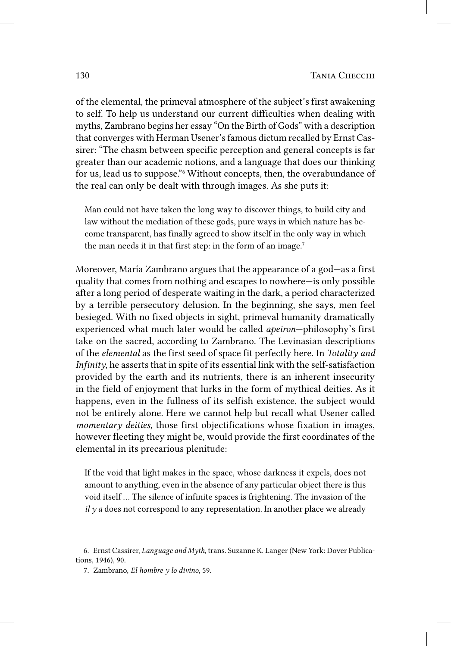of the elemental, the primeval atmosphere of the subject's first awakening to self. To help us understand our current difficulties when dealing with myths, Zambrano begins her essay "On the Birth of Gods" with a description that converges with Herman Usener's famous dictum recalled by Ernst Cassirer: "The chasm between specific perception and general concepts is far greater than our academic notions, and a language that does our thinking for us, lead us to suppose."6 Without concepts, then, the overabundance of the real can only be dealt with through images. As she puts it:

Man could not have taken the long way to discover things, to build city and law without the mediation of these gods, pure ways in which nature has become transparent, has finally agreed to show itself in the only way in which the man needs it in that first step: in the form of an image.<sup>7</sup>

Moreover, María Zambrano argues that the appearance of a god—as a first quality that comes from nothing and escapes to nowhere—is only possible after a long period of desperate waiting in the dark, a period characterized by a terrible persecutory delusion. In the beginning, she says, men feel besieged. With no fixed objects in sight, primeval humanity dramatically experienced what much later would be called *apeiron*—philosophy's first take on the sacred, according to Zambrano. The Levinasian descriptions of the *elemental* as the first seed of space fit perfectly here. In *Totality and Infinity*, he asserts that in spite of its essential link with the self-satisfaction provided by the earth and its nutrients, there is an inherent insecurity in the field of enjoyment that lurks in the form of mythical deities. As it happens, even in the fullness of its selfish existence, the subject would not be entirely alone. Here we cannot help but recall what Usener called *momentary deities*, those first objectifications whose fixation in images, however fleeting they might be, would provide the first coordinates of the elemental in its precarious plenitude:

If the void that light makes in the space, whose darkness it expels, does not amount to anything, even in the absence of any particular object there is this void itself … The silence of infinite spaces is frightening. The invasion of the *il* y *a* does not correspond to any representation. In another place we already

<sup>6.</sup> Ernst Cassirer, *Language and Myth*, trans. Suzanne K. Langer (New York: Dover Publications, 1946), 90.

<sup>7.</sup> Zambrano, *El hombre y lo divino*, 59.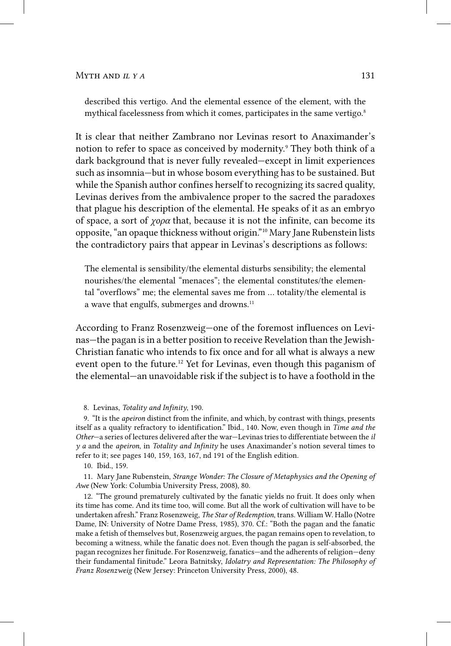described this vertigo. And the elemental essence of the element, with the mythical facelessness from which it comes, participates in the same vertigo.<sup>8</sup>

It is clear that neither Zambrano nor Levinas resort to Anaximander's notion to refer to space as conceived by modernity.<sup>9</sup> They both think of a dark background that is never fully revealed—except in limit experiences such as insomnia—but in whose bosom everything has to be sustained. But while the Spanish author confines herself to recognizing its sacred quality, Levinas derives from the ambivalence proper to the sacred the paradoxes that plague his description of the elemental. He speaks of it as an embryo of space, a sort of *χορα* that, because it is not the infinite, can become its opposite, "an opaque thickness without origin."10 Mary Jane Rubenstein lists the contradictory pairs that appear in Levinas's descriptions as follows:

The elemental is sensibility/the elemental disturbs sensibility; the elemental nourishes/the elemental "menaces"; the elemental constitutes/the elemental "overflows" me; the elemental saves me from … totality/the elemental is a wave that engulfs, submerges and drowns.<sup>11</sup>

According to Franz Rosenzweig—one of the foremost influences on Levinas—the pagan is in a better position to receive Revelation than the Jewish-Christian fanatic who intends to fix once and for all what is always a new event open to the future.<sup>12</sup> Yet for Levinas, even though this paganism of the elemental—an unavoidable risk if the subject is to have a foothold in the

8. Levinas, *Totality and Infinity*, 190.

9. "It is the *apeiron* distinct from the infinite, and which, by contrast with things, presents itself as a quality refractory to identification." Ibid., 140. Now, even though in *Time and the Other*—a series of lectures delivered after the war—Levinas tries to differentiate between the *il y a* and the *apeiron*, in *Totality and Infinity* he uses Anaximander's notion several times to refer to it; see pages 140, 159, 163, 167, nd 191 of the English edition.

10. Ibid., 159.

11. Mary Jane Rubenstein, *Strange Wonder: The Closure of Metaphysics and the Opening of Awe* (New York: Columbia University Press, 2008), 80.

12. "The ground prematurely cultivated by the fanatic yields no fruit. It does only when its time has come. And its time too, will come. But all the work of cultivation will have to be undertaken afresh." Franz Rosenzweig, *The Star of Redemption*, trans. William W. Hallo (Notre Dame, IN: University of Notre Dame Press, 1985), 370. Cf.: "Both the pagan and the fanatic make a fetish of themselves but, Rosenzweig argues, the pagan remains open to revelation, to becoming a witness, while the fanatic does not. Even though the pagan is self-absorbed, the pagan recognizes her finitude. For Rosenzweig, fanatics—and the adherents of religion—deny their fundamental finitude." Leora Batnitsky, *Idolatry and Representation: The Philosophy of Franz Rosenzweig* (New Jersey: Princeton University Press, 2000), 48.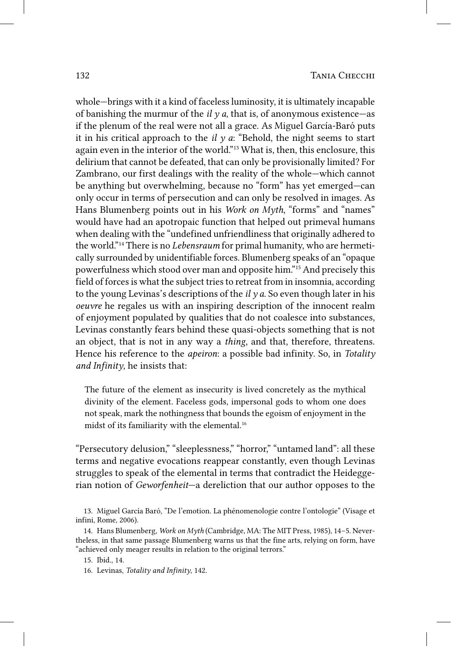whole—brings with it a kind of faceless luminosity, it is ultimately incapable of banishing the murmur of the  $il$   $\gamma$  *a*, that is, of anonymous existence—as if the plenum of the real were not all a grace. As Miguel García-Baró puts it in his critical approach to the  $il \gamma a$ : "Behold, the night seems to start again even in the interior of the world."13 What is, then, this enclosure, this delirium that cannot be defeated, that can only be provisionally limited? For Zambrano, our first dealings with the reality of the whole—which cannot be anything but overwhelming, because no "form" has yet emerged—can only occur in terms of persecution and can only be resolved in images. As Hans Blumenberg points out in his *Work on Myth*, "forms" and "names" would have had an apotropaic function that helped out primeval humans when dealing with the "undefined unfriendliness that originally adhered to the world."14 There is no *Lebensraum* for primal humanity, who are hermetically surrounded by unidentifiable forces. Blumenberg speaks of an "opaque powerfulness which stood over man and opposite him."15 And precisely this field of forces is what the subject tries to retreat from in insomnia, according to the young Levinas's descriptions of the *il y a*. So even though later in his *oeuvre* he regales us with an inspiring description of the innocent realm of enjoyment populated by qualities that do not coalesce into substances, Levinas constantly fears behind these quasi-objects something that is not an object, that is not in any way a *thing*, and that, therefore, threatens. Hence his reference to the *apeiron*: a possible bad infinity. So, in *Totality and Infinity*, he insists that:

The future of the element as insecurity is lived concretely as the mythical divinity of the element. Faceless gods, impersonal gods to whom one does not speak, mark the nothingness that bounds the egoism of enjoyment in the midst of its familiarity with the elemental.<sup>16</sup>

"Persecutory delusion," "sleeplessness," "horror," "untamed land": all these terms and negative evocations reappear constantly, even though Levinas struggles to speak of the elemental in terms that contradict the Heideggerian notion of *Geworfenheit*—a dereliction that our author opposes to the

<sup>13.</sup> Miguel García Baró, "De l'emotion. La phénomenologie contre l'ontologie" (Visage et infini, Rome, 2006).

<sup>14.</sup> Hans Blumenberg, *Work on Myth* (Cambridge, MA: The MIT Press, 1985), 14–5. Nevertheless, in that same passage Blumenberg warns us that the fine arts, relying on form, have "achieved only meager results in relation to the original terrors."

<sup>15.</sup> Ibid., 14.

<sup>16.</sup> Levinas, *Totality and Infinity*, 142.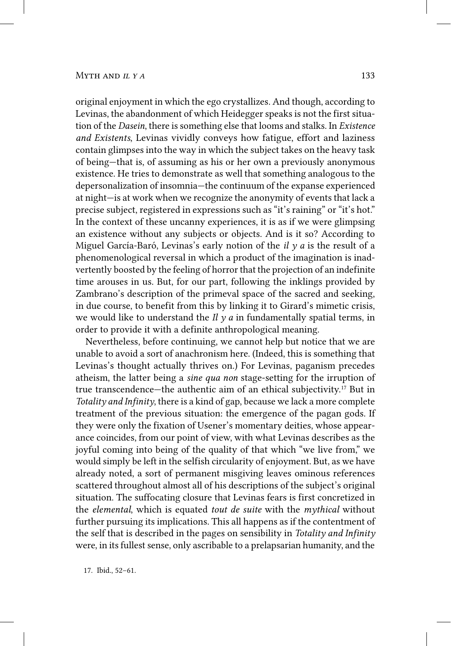#### MYTH AND  $I L Y A$  133

original enjoyment in which the ego crystallizes. And though, according to Levinas, the abandonment of which Heidegger speaks is not the first situation of the *Dasein*, there is something else that looms and stalks. In *Existence and Existents*, Levinas vividly conveys how fatigue, effort and laziness contain glimpses into the way in which the subject takes on the heavy task of being—that is, of assuming as his or her own a previously anonymous existence. He tries to demonstrate as well that something analogous to the depersonalization of insomnia—the continuum of the expanse experienced at night—is at work when we recognize the anonymity of events that lack a precise subject, registered in expressions such as "it's raining" or "it's hot." In the context of these uncanny experiences, it is as if we were glimpsing an existence without any subjects or objects. And is it so? According to Miguel García-Baró, Levinas's early notion of the *il y a* is the result of a phenomenological reversal in which a product of the imagination is inadvertently boosted by the feeling of horror that the projection of an indefinite time arouses in us. But, for our part, following the inklings provided by Zambrano's description of the primeval space of the sacred and seeking, in due course, to benefit from this by linking it to Girard's mimetic crisis, we would like to understand the *Il*  $\gamma$  *a* in fundamentally spatial terms, in order to provide it with a definite anthropological meaning.

Nevertheless, before continuing, we cannot help but notice that we are unable to avoid a sort of anachronism here. (Indeed, this is something that Levinas's thought actually thrives on.) For Levinas, paganism precedes atheism, the latter being a *sine qua non* stage-setting for the irruption of true transcendence—the authentic aim of an ethical subjectivity.17 But in *Totality and Infinity*, there is a kind of gap, because we lack a more complete treatment of the previous situation: the emergence of the pagan gods. If they were only the fixation of Usener's momentary deities, whose appearance coincides, from our point of view, with what Levinas describes as the joyful coming into being of the quality of that which "we live from," we would simply be left in the selfish circularity of enjoyment. But, as we have already noted, a sort of permanent misgiving leaves ominous references scattered throughout almost all of his descriptions of the subject's original situation. The suffocating closure that Levinas fears is first concretized in the *elemental*, which is equated *tout de suite* with the *mythical* without further pursuing its implications. This all happens as if the contentment of the self that is described in the pages on sensibility in *Totality and Infinity*  were, in its fullest sense, only ascribable to a prelapsarian humanity, and the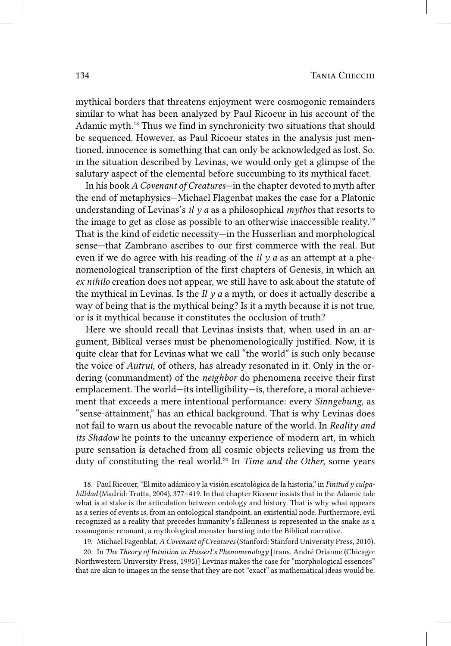mythical borders that threatens enjoyment were cosmogonic remainders similar to what has been analyzed by Paul Ricoeur in his account of the Adamic myth.18 Thus we find in synchronicity two situations that should be sequenced. However, as Paul Ricoeur states in the analysis just mentioned, innocence is something that can only be acknowledged as lost. So, in the situation described by Levinas, we would only get a glimpse of the salutary aspect of the elemental before succumbing to its mythical facet.

In his book *A Covenant of Creatures*—in the chapter devoted to myth after the end of metaphysics—Michael Flagenbat makes the case for a Platonic understanding of Levinas's *il y a* as a philosophical *mythos* that resorts to the image to get as close as possible to an otherwise inaccessible reality.19 That is the kind of eidetic necessity—in the Husserlian and morphological sense—that Zambrano ascribes to our first commerce with the real. But even if we do agree with his reading of the *il y a* as an attempt at a phenomenological transcription of the first chapters of Genesis, in which an *ex nihilo* creation does not appear, we still have to ask about the statute of the mythical in Levinas. Is the  $I\nvert l$   $\nu$  a a myth, or does it actually describe a way of being that is the mythical being? Is it a myth because it is not true, or is it mythical because it constitutes the occlusion of truth?

Here we should recall that Levinas insists that, when used in an argument, Biblical verses must be phenomenologically justified. Now, it is quite clear that for Levinas what we call "the world" is such only because the voice of *Autrui*, of others, has already resonated in it. Only in the ordering (commandment) of the *neighbor* do phenomena receive their first emplacement. The world—its intelligibility—is, therefore, a moral achievement that exceeds a mere intentional performance: every *Sinngebung*, as "sense-attainment," has an ethical background. That is why Levinas does not fail to warn us about the revocable nature of the world. In *Reality and its Shadow* he points to the uncanny experience of modern art, in which pure sensation is detached from all cosmic objects relieving us from the duty of constituting the real world.20 In *Time and the Other*, some years

18. Paul Ricouer, "El mito adámico y la visión escatológica de la historia," in *Finitud y culpabilidad* (Madrid: Trotta, 2004), 377–419. In that chapter Ricoeur insists that in the Adamic tale what is at stake is the articulation between ontology and history. That is why what appears as a series of events is, from an ontological standpoint, an existential node. Furthermore, evil recognized as a reality that precedes humanity's fallenness is represented in the snake as a cosmogonic remnant, a mythological monster bursting into the Biblical narrative.

19. Michael Fagenblat, *A Covenant of Creatures* (Stanford: Stanford University Press, 2010).

20. In *The Theory of Intuition in Husserl's Phenomenology* [trans. André Orianne (Chicago: Northwestern University Press, 1995)] Levinas makes the case for "morphological essences" that are akin to images in the sense that they are not "exact" as mathematical ideas would be.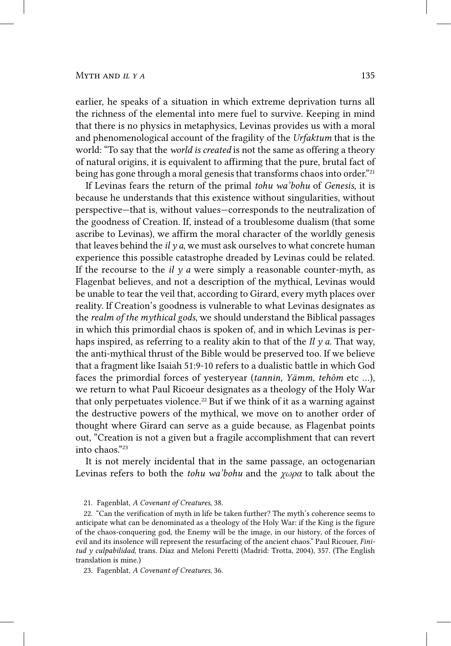earlier, he speaks of a situation in which extreme deprivation turns all the richness of the elemental into mere fuel to survive. Keeping in mind that there is no physics in metaphysics, Levinas provides us with a moral and phenomenological account of the fragility of the *Urfaktum* that is the world: "To say that the *world is created* is not the same as offering a theory of natural origins, it is equivalent to affirming that the pure, brutal fact of being has gone through a moral genesis that transforms chaos into order."<sup>21</sup>

If Levinas fears the return of the primal *tohu wa'bohu* of *Genesis*, it is because he understands that this existence without singularities, without perspective—that is, without values—corresponds to the neutralization of the goodness of Creation. If, instead of a troublesome dualism (that some ascribe to Levinas), we affirm the moral character of the worldly genesis that leaves behind the  $ily a$ , we must ask ourselves to what concrete human experience this possible catastrophe dreaded by Levinas could be related. If the recourse to the *il*  $\gamma$  *a* were simply a reasonable counter-myth, as Flagenbat believes, and not a description of the mythical, Levinas would be unable to tear the veil that, according to Girard, every myth places over reality. If Creation's goodness is vulnerable to what Levinas designates as the *realm of the mythical gods*, we should understand the Biblical passages in which this primordial chaos is spoken of, and in which Levinas is perhaps inspired, as referring to a reality akin to that of the *Il y a*. That way, the anti-mythical thrust of the Bible would be preserved too. If we believe that a fragment like Isaiah 51:9-10 refers to a dualistic battle in which God faces the primordial forces of yesteryear (*tannin, Yämm, tehôm* etc …), we return to what Paul Ricoeur designates as a theology of the Holy War that only perpetuates violence.<sup>22</sup> But if we think of it as a warning against the destructive powers of the mythical, we move on to another order of thought where Girard can serve as a guide because, as Flagenbat points out, "Creation is not a given but a fragile accomplishment that can revert into chaos."23

It is not merely incidental that in the same passage, an octogenarian Levinas refers to both the *tohu wa'bohu* and the *χωρα* to talk about the

<sup>21.</sup> Fagenblat, *A Covenant of Creatures*, 38.

<sup>22.</sup> "Can the verification of myth in life be taken further? The myth's coherence seems to anticipate what can be denominated as a theology of the Holy War: if the King is the figure of the chaos-conquering god, the Enemy will be the image, in our history, of the forces of evil and its insolence will represent the resurfacing of the ancient chaos." Paul Ricouer, *Finitud y culpabilidad*, trans. Díaz and Meloni Peretti (Madrid: Trotta, 2004), 357. (The English translation is mine.)

<sup>23.</sup> Fagenblat, *A Covenant of Creatures*, 36.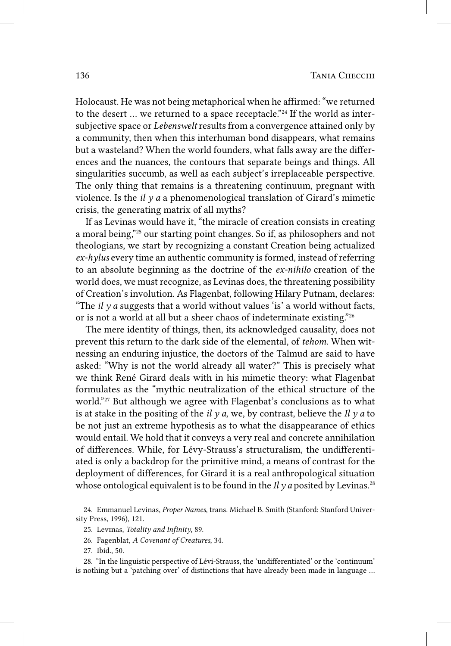Holocaust. He was not being metaphorical when he affirmed: "we returned to the desert … we returned to a space receptacle."24 If the world as intersubjective space or *Lebenswelt* results from a convergence attained only by a community, then when this interhuman bond disappears, what remains but a wasteland? When the world founders, what falls away are the differences and the nuances, the contours that separate beings and things. All singularities succumb, as well as each subject's irreplaceable perspective. The only thing that remains is a threatening continuum, pregnant with violence. Is the *il y a* a phenomenological translation of Girard's mimetic crisis, the generating matrix of all myths?

If as Levinas would have it, "the miracle of creation consists in creating a moral being,"25 our starting point changes. So if, as philosophers and not theologians, we start by recognizing a constant Creation being actualized *ex-hylus* every time an authentic community is formed, instead of referring to an absolute beginning as the doctrine of the *ex-nihilo* creation of the world does, we must recognize, as Levinas does, the threatening possibility of Creation's involution. As Flagenbat, following Hilary Putnam, declares: "The  $il\gamma a$  suggests that a world without values 'is' a world without facts, or is not a world at all but a sheer chaos of indeterminate existing."26

The mere identity of things, then, its acknowledged causality, does not prevent this return to the dark side of the elemental, of *tehom*. When witnessing an enduring injustice, the doctors of the Talmud are said to have asked: "Why is not the world already all water?" This is precisely what we think René Girard deals with in his mimetic theory: what Flagenbat formulates as the "mythic neutralization of the ethical structure of the world."27 But although we agree with Flagenbat's conclusions as to what is at stake in the positing of the *il y a*, we, by contrast, believe the *Il y a* to be not just an extreme hypothesis as to what the disappearance of ethics would entail. We hold that it conveys a very real and concrete annihilation of differences. While, for Lévy-Strauss's structuralism, the undifferentiated is only a backdrop for the primitive mind, a means of contrast for the deployment of differences, for Girard it is a real anthropological situation whose ontological equivalent is to be found in the *Il* y *a* posited by Levinas.<sup>28</sup>

28. "In the linguistic perspective of Lévi-Strauss, the 'undifferentiated' or the 'continuum' is nothing but a 'patching over' of distinctions that have already been made in language …

<sup>24.</sup> Emmanuel Levinas, *Proper Names*, trans. Michael B. Smith (Stanford: Stanford University Press, 1996), 121.

<sup>25.</sup> Levinas, *Totality and Infinity*, 89.

<sup>26.</sup> Fagenblat, *A Covenant of Creatures*, 34.

<sup>27.</sup> Ibid., 50.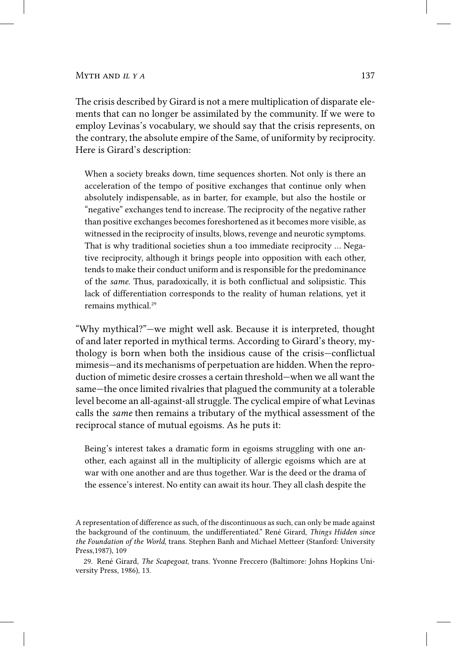The crisis described by Girard is not a mere multiplication of disparate elements that can no longer be assimilated by the community. If we were to employ Levinas's vocabulary, we should say that the crisis represents, on the contrary, the absolute empire of the Same, of uniformity by reciprocity. Here is Girard's description:

When a society breaks down, time sequences shorten. Not only is there an acceleration of the tempo of positive exchanges that continue only when absolutely indispensable, as in barter, for example, but also the hostile or "negative" exchanges tend to increase. The reciprocity of the negative rather than positive exchanges becomes foreshortened as it becomes more visible, as witnessed in the reciprocity of insults, blows, revenge and neurotic symptoms. That is why traditional societies shun a too immediate reciprocity … Negative reciprocity, although it brings people into opposition with each other, tends to make their conduct uniform and is responsible for the predominance of the *same*. Thus, paradoxically, it is both conflictual and solipsistic. This lack of differentiation corresponds to the reality of human relations, yet it remains mythical.<sup>29</sup>

"Why mythical?"—we might well ask. Because it is interpreted, thought of and later reported in mythical terms. According to Girard's theory, mythology is born when both the insidious cause of the crisis—conflictual mimesis—and its mechanisms of perpetuation are hidden. When the reproduction of mimetic desire crosses a certain threshold—when we all want the same—the once limited rivalries that plagued the community at a tolerable level become an all-against-all struggle. The cyclical empire of what Levinas calls the *same* then remains a tributary of the mythical assessment of the reciprocal stance of mutual egoisms. As he puts it:

Being's interest takes a dramatic form in egoisms struggling with one another, each against all in the multiplicity of allergic egoisms which are at war with one another and are thus together. War is the deed or the drama of the essence's interest. No entity can await its hour. They all clash despite the

A representation of difference as such, of the discontinuous as such, can only be made against the background of the continuum, the undifferentiated." René Girard, *Things Hidden since the Foundation of the World*, trans. Stephen Banh and Michael Metteer (Stanford: University Press,1987), 109

<sup>29.</sup> René Girard, *The Scapegoat*, trans. Yvonne Freccero (Baltimore: Johns Hopkins University Press, 1986), 13.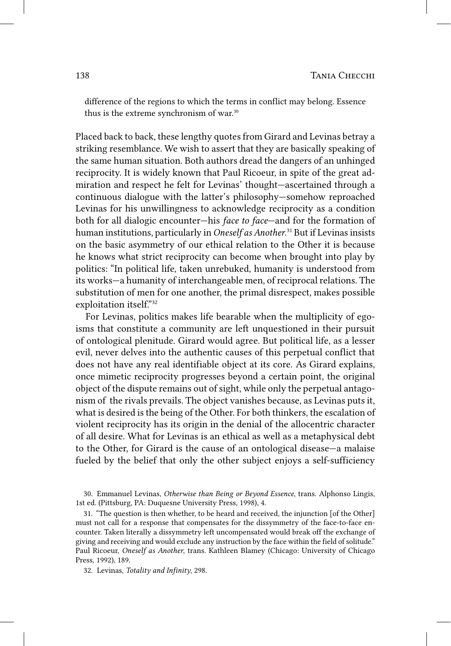difference of the regions to which the terms in conflict may belong. Essence thus is the extreme synchronism of war.<sup>30</sup>

Placed back to back, these lengthy quotes from Girard and Levinas betray a striking resemblance. We wish to assert that they are basically speaking of the same human situation. Both authors dread the dangers of an unhinged reciprocity. It is widely known that Paul Ricoeur, in spite of the great admiration and respect he felt for Levinas' thought—ascertained through a continuous dialogue with the latter's philosophy—somehow reproached Levinas for his unwillingness to acknowledge reciprocity as a condition both for all dialogic encounter—his *face to face*—and for the formation of human institutions, particularly in *Oneself as Another*. 31 But if Levinas insists on the basic asymmetry of our ethical relation to the Other it is because he knows what strict reciprocity can become when brought into play by politics: "In political life, taken unrebuked, humanity is understood from its works—a humanity of interchangeable men, of reciprocal relations. The substitution of men for one another, the primal disrespect, makes possible exploitation itself."32

For Levinas, politics makes life bearable when the multiplicity of egoisms that constitute a community are left unquestioned in their pursuit of ontological plenitude. Girard would agree. But political life, as a lesser evil, never delves into the authentic causes of this perpetual conflict that does not have any real identifiable object at its core. As Girard explains, once mimetic reciprocity progresses beyond a certain point, the original object of the dispute remains out of sight, while only the perpetual antagonism of the rivals prevails. The object vanishes because, as Levinas puts it, what is desired is the being of the Other. For both thinkers, the escalation of violent reciprocity has its origin in the denial of the allocentric character of all desire. What for Levinas is an ethical as well as a metaphysical debt to the Other, for Girard is the cause of an ontological disease—a malaise fueled by the belief that only the other subject enjoys a self-sufficiency

30. Emmanuel Levinas, *Otherwise than Being or Beyond Essence*, trans. Alphonso Lingis, 1st ed. (Pittsburg, PA: Duquesne University Press, 1998), 4.

31. "The question is then whether, to be heard and received, the injunction [of the Other] must not call for a response that compensates for the dissymmetry of the face-to-face encounter. Taken literally a dissymmetry left uncompensated would break off the exchange of giving and receiving and would exclude any instruction by the face within the field of solitude." Paul Ricoeur, *Oneself as Another*, trans. Kathleen Blamey (Chicago: University of Chicago Press, 1992), 189.

32. Levinas, *Totality and Infinity*, 298.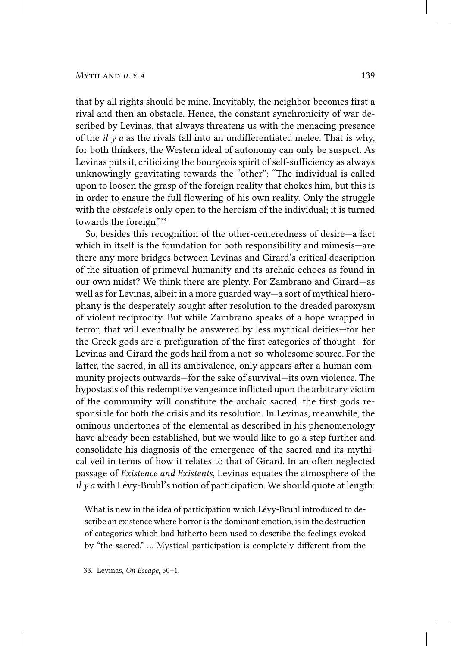that by all rights should be mine. Inevitably, the neighbor becomes first a rival and then an obstacle. Hence, the constant synchronicity of war described by Levinas, that always threatens us with the menacing presence of the *il y a* as the rivals fall into an undifferentiated melee. That is why, for both thinkers, the Western ideal of autonomy can only be suspect. As Levinas puts it, criticizing the bourgeois spirit of self-sufficiency as always unknowingly gravitating towards the "other": "The individual is called upon to loosen the grasp of the foreign reality that chokes him, but this is in order to ensure the full flowering of his own reality. Only the struggle with the *obstacle* is only open to the heroism of the individual; it is turned towards the foreign."33

So, besides this recognition of the other-centeredness of desire—a fact which in itself is the foundation for both responsibility and mimesis—are there any more bridges between Levinas and Girard's critical description of the situation of primeval humanity and its archaic echoes as found in our own midst? We think there are plenty. For Zambrano and Girard—as well as for Levinas, albeit in a more guarded way—a sort of mythical hierophany is the desperately sought after resolution to the dreaded paroxysm of violent reciprocity. But while Zambrano speaks of a hope wrapped in terror, that will eventually be answered by less mythical deities—for her the Greek gods are a prefiguration of the first categories of thought—for Levinas and Girard the gods hail from a not-so-wholesome source. For the latter, the sacred, in all its ambivalence, only appears after a human community projects outwards—for the sake of survival—its own violence. The hypostasis of this redemptive vengeance inflicted upon the arbitrary victim of the community will constitute the archaic sacred: the first gods responsible for both the crisis and its resolution. In Levinas, meanwhile, the ominous undertones of the elemental as described in his phenomenology have already been established, but we would like to go a step further and consolidate his diagnosis of the emergence of the sacred and its mythical veil in terms of how it relates to that of Girard. In an often neglected passage of *Existence and Existents*, Levinas equates the atmosphere of the *il y a* with Lévy-Bruhl's notion of participation. We should quote at length:

What is new in the idea of participation which Lévy-Bruhl introduced to describe an existence where horror is the dominant emotion, is in the destruction of categories which had hitherto been used to describe the feelings evoked by "the sacred." … Mystical participation is completely different from the

33. Levinas, *On Escape*, 50–1.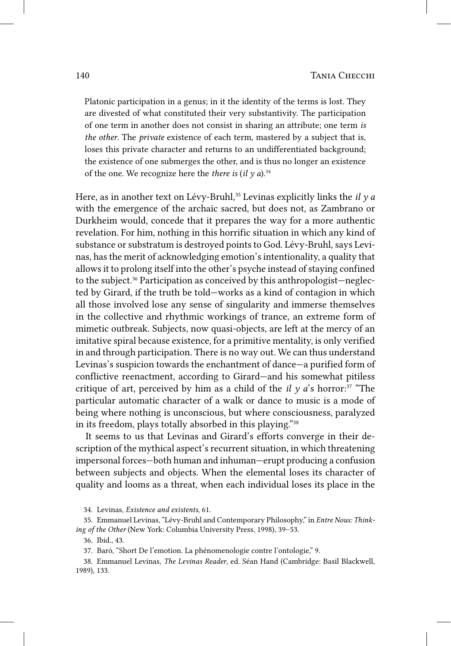Platonic participation in a genus; in it the identity of the terms is lost. They are divested of what constituted their very substantivity. The participation of one term in another does not consist in sharing an attribute; one term *is the other*. The *private* existence of each term, mastered by a subject that is, loses this private character and returns to an undifferentiated background; the existence of one submerges the other, and is thus no longer an existence of the one. We recognize here the *there is*  $(i\ell \gamma a)$ .<sup>34</sup>

Here, as in another text on Lévy-Bruhl,<sup>35</sup> Levinas explicitly links the *il*  $\gamma$  *a* with the emergence of the archaic sacred, but does not, as Zambrano or Durkheim would, concede that it prepares the way for a more authentic revelation. For him, nothing in this horrific situation in which any kind of substance or substratum is destroyed points to God. Lévy-Bruhl, says Levinas, has the merit of acknowledging emotion's intentionality, a quality that allows it to prolong itself into the other's psyche instead of staying confined to the subject.36 Participation as conceived by this anthropologist—neglected by Girard, if the truth be told—works as a kind of contagion in which all those involved lose any sense of singularity and immerse themselves in the collective and rhythmic workings of trance, an extreme form of mimetic outbreak. Subjects, now quasi-objects, are left at the mercy of an imitative spiral because existence, for a primitive mentality, is only verified in and through participation. There is no way out. We can thus understand Levinas's suspicion towards the enchantment of dance—a purified form of conflictive reenactment, according to Girard—and his somewhat pitiless critique of art, perceived by him as a child of the *il*  $\gamma$  *a*'s horror:<sup>37</sup> "The particular automatic character of a walk or dance to music is a mode of being where nothing is unconscious, but where consciousness, paralyzed in its freedom, plays totally absorbed in this playing."38

It seems to us that Levinas and Girard's efforts converge in their description of the mythical aspect's recurrent situation, in which threatening impersonal forces—both human and inhuman—erupt producing a confusion between subjects and objects. When the elemental loses its character of quality and looms as a threat, when each individual loses its place in the

34. Levinas, *Existence and existents*, 61.

36. Ibid., 43.

37. Baró, "Short De l'emotion. La phénomenologie contre l'ontologie," 9.

38. Emmanuel Levinas, *The Levinas Reader*, ed. Séan Hand (Cambridge: Basil Blackwell, 1989), 133.

<sup>35.</sup> Emmanuel Levinas, "Lévy-Bruhl and Contemporary Philosophy," in *Entre Nous: Thinking of the Other* (New York: Columbia University Press, 1998), 39–53.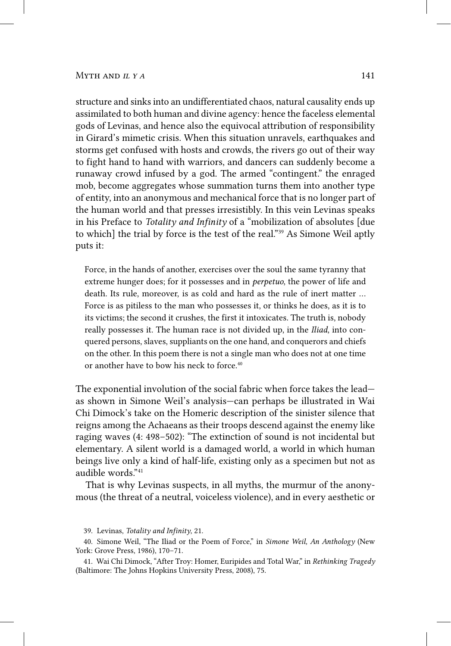structure and sinks into an undifferentiated chaos, natural causality ends up assimilated to both human and divine agency: hence the faceless elemental gods of Levinas, and hence also the equivocal attribution of responsibility in Girard's mimetic crisis. When this situation unravels, earthquakes and storms get confused with hosts and crowds, the rivers go out of their way to fight hand to hand with warriors, and dancers can suddenly become a runaway crowd infused by a god. The armed "contingent." the enraged mob, become aggregates whose summation turns them into another type of entity, into an anonymous and mechanical force that is no longer part of the human world and that presses irresistibly. In this vein Levinas speaks in his Preface to *Totality and Infinity* of a "mobilization of absolutes [due to which] the trial by force is the test of the real."<sup>39</sup> As Simone Weil aptly puts it:

Force, in the hands of another, exercises over the soul the same tyranny that extreme hunger does; for it possesses and in *perpetuo*, the power of life and death. Its rule, moreover, is as cold and hard as the rule of inert matter … Force is as pitiless to the man who possesses it, or thinks he does, as it is to its victims; the second it crushes, the first it intoxicates. The truth is, nobody really possesses it. The human race is not divided up, in the *Iliad*, into conquered persons, slaves, suppliants on the one hand, and conquerors and chiefs on the other. In this poem there is not a single man who does not at one time or another have to bow his neck to force.<sup>40</sup>

The exponential involution of the social fabric when force takes the lead as shown in Simone Weil's analysis—can perhaps be illustrated in Wai Chi Dimock's take on the Homeric description of the sinister silence that reigns among the Achaeans as their troops descend against the enemy like raging waves (4: 498–502): "The extinction of sound is not incidental but elementary. A silent world is a damaged world, a world in which human beings live only a kind of half-life, existing only as a specimen but not as audible words."41

That is why Levinas suspects, in all myths, the murmur of the anonymous (the threat of a neutral, voiceless violence), and in every aesthetic or

<sup>39.</sup> Levinas, *Totality and Infinity*, 21.

<sup>40.</sup> Simone Weil, "The Iliad or the Poem of Force," in *Simone Weil, An Anthology* (New York: Grove Press, 1986), 170–71.

<sup>41.</sup> Wai Chi Dimock, "After Troy: Homer, Euripides and Total War," in *Rethinking Tragedy* (Baltimore: The Johns Hopkins University Press, 2008), 75.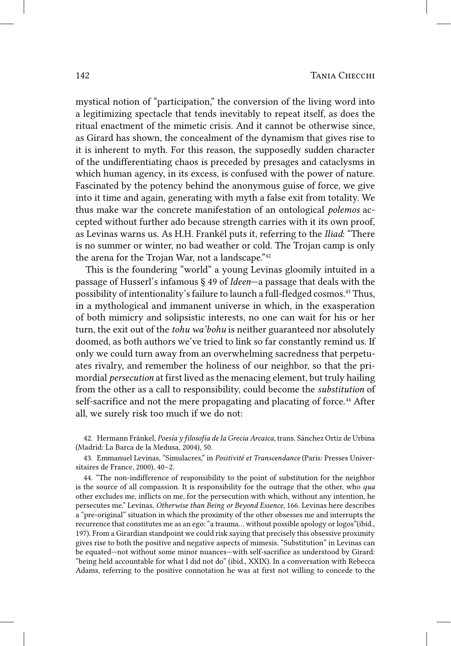mystical notion of "participation," the conversion of the living word into a legitimizing spectacle that tends inevitably to repeat itself, as does the ritual enactment of the mimetic crisis. And it cannot be otherwise since, as Girard has shown, the concealment of the dynamism that gives rise to it is inherent to myth. For this reason, the supposedly sudden character of the undifferentiating chaos is preceded by presages and cataclysms in which human agency, in its excess, is confused with the power of nature. Fascinated by the potency behind the anonymous guise of force, we give into it time and again, generating with myth a false exit from totality. We thus make war the concrete manifestation of an ontological *polemos* accepted without further ado because strength carries with it its own proof, as Levinas warns us. As H.H. Frankël puts it, referring to the *Iliad*: "There is no summer or winter, no bad weather or cold. The Trojan camp is only the arena for the Trojan War, not a landscape."<sup>42</sup>

This is the foundering "world" a young Levinas gloomily intuited in a passage of Husserl's infamous § 49 of *Ideen*—a passage that deals with the possibility of intentionality's failure to launch a full-fledged cosmos.43 Thus, in a mythological and immanent universe in which, in the exasperation of both mimicry and solipsistic interests, no one can wait for his or her turn, the exit out of the *tohu wa'bohu* is neither guaranteed nor absolutely doomed, as both authors we've tried to link so far constantly remind us. If only we could turn away from an overwhelming sacredness that perpetuates rivalry, and remember the holiness of our neighbor, so that the primordial *persecution* at first lived as the menacing element, but truly hailing from the other as a call to responsibility, could become the *substitution* of self-sacrifice and not the mere propagating and placating of force.<sup>44</sup> After all, we surely risk too much if we do not:

42. Hermann Fränkel, *Poesía y filosofía de la Grecia Arcaica*, trans. Sánchez Ortiz de Urbina (Madrid: La Barca de la Medusa, 2004), 50.

43. Emmanuel Levinas, "Simulacres," in *Positivité et Transcendance* (Paris: Presses Universitaires de France, 2000), 40–2.

44. "The non-indifference of responsibility to the point of substitution for the neighbor is the source of all compassion. It is responsibility for the outrage that the other, who *qua* other excludes me, inflicts on me, for the persecution with which, without any intention, he persecutes me." Levinas, *Otherwise than Being or Beyond Essence*, 166. Levinas here describes a "pre-original" situation in which the proximity of the other obsesses me and interrupts the recurrence that constitutes me as an ego: "a trauma… without possible apology or logos"(ibid., 197). From a Girardian standpoint we could risk saying that precisely this obsessive proximity gives rise to both the positive and negative aspects of mimesis. "Substitution" in Levinas can be equated—not without some minor nuances—with self-sacrifice as understood by Girard: "being held accountable for what I did not do" (ibid., XXIX). In a conversation with Rebecca Adams, referring to the positive connotation he was at first not willing to concede to the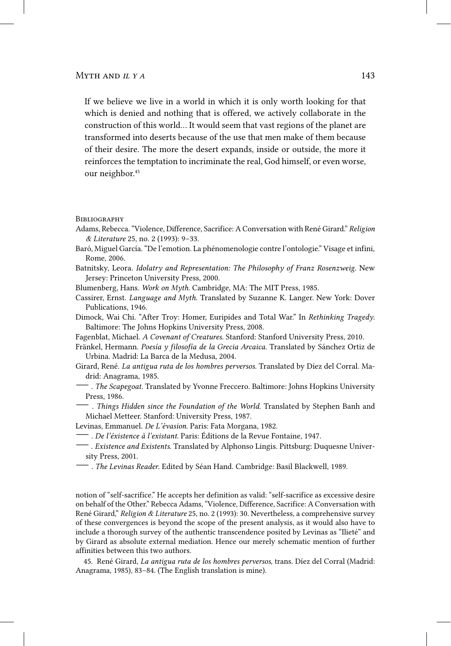If we believe we live in a world in which it is only worth looking for that which is denied and nothing that is offered, we actively collaborate in the construction of this world… It would seem that vast regions of the planet are transformed into deserts because of the use that men make of them because of their desire. The more the desert expands, inside or outside, the more it reinforces the temptation to incriminate the real, God himself, or even worse, our neighbor.<sup>45</sup>

**BIBLIOGRAPHY** 

- Adams, Rebecca. "Violence, Difference, Sacrifice: A Conversation with René Girard." *Religion & Literature* 25, no. 2 (1993): 9–33.
- Baró, Miguel García. "De l'emotion. La phénomenologie contre l'ontologie." Visage et infini, Rome, 2006.
- Batnitsky, Leora. *Idolatry and Representation: The Philosophy of Franz Rosenzweig.* New Jersey: Princeton University Press, 2000.
- Blumenberg, Hans. *Work on Myth.* Cambridge, MA: The MIT Press, 1985.
- Cassirer, Ernst. *Language and Myth.* Translated by Suzanne K. Langer. New York: Dover Publications, 1946.
- Dimock, Wai Chi. "After Troy: Homer, Euripides and Total War." In *Rethinking Tragedy*. Baltimore: The Johns Hopkins University Press, 2008.
- Fagenblat, Michael. *A Covenant of Creatures.* Stanford: Stanford University Press, 2010.
- Fränkel, Hermann. *Poesía y filosofía de la Grecia Arcaica.* Translated by Sánchez Ortiz de Urbina. Madrid: La Barca de la Medusa, 2004.
- Girard, René. *La antigua ruta de los hombres perversos.* Translated by Díez del Corral. Madrid: Anagrama, 1985.
- —. *The Scapegoat.* Translated by Yvonne Freccero. Baltimore: Johns Hopkins University Press, 1986.
- . *Things Hidden since the Foundation of the World*. Translated by Stephen Banh and Michael Metteer. Stanford: University Press, 1987.
- Levinas, Emmanuel. *De L'èvasion.* Paris: Fata Morgana, 1982.
- —. *De l'éxistence à l'existant.* Paris: Éditions de la Revue Fontaine, 1947.
- —. *Existence and Existents.* Translated by Alphonso Lingis. Pittsburg: Duquesne University Press, 2001.
- —. *The Levinas Reader*. Edited by Séan Hand. Cambridge: Basil Blackwell, 1989.

notion of "self-sacrifice." He accepts her definition as valid: "self-sacrifice as excessive desire on behalf of the Other." Rebecca Adams, "Violence, Difference, Sacrifice: A Conversation with René Girard," *Religion & Literature* 25, no. 2 (1993): 30. Nevertheless, a comprehensive survey of these convergences is beyond the scope of the present analysis, as it would also have to include a thorough survey of the authentic transcendence posited by Levinas as "Ilieté" and by Girard as absolute external mediation. Hence our merely schematic mention of further affinities between this two authors.

45. René Girard, *La antigua ruta de los hombres perversos*, trans. Díez del Corral (Madrid: Anagrama, 1985), 83–84. (The English translation is mine).